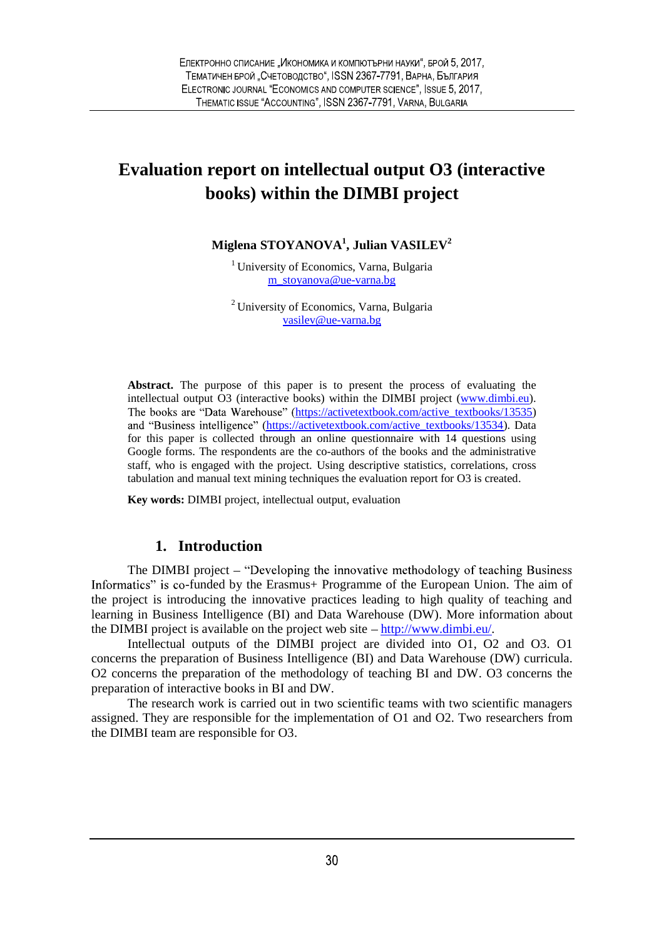# **Evaluation report on intellectual output O3 (interactive books) within the DIMBI project**

**Miglena STOYANOVA<sup>1</sup> , Julian VASILEV<sup>2</sup>**

<sup>1</sup> University of Economics, Varna, Bulgaria m\_stoyanova@ue-varna.bg

<sup>2</sup> University of Economics, Varna, Bulgaria vasilev@ue-varna.bg

**Abstract.** The purpose of this paper is to present the process of evaluating the intellectual output O3 (interactive books) within the DIMBI project (www.dimbi.eu). The books are "Data Warehouse" (https://activetextbook.com/active\_textbooks/13535) and "Business intelligence" (https://activetextbook.com/active\_textbooks/13534). Data for this paper is collected through an online questionnaire with 14 questions using Google forms. The respondents are the co-authors of the books and the administrative staff, who is engaged with the project. Using descriptive statistics, correlations, cross tabulation and manual text mining techniques the evaluation report for O3 is created.

**Key words:** DIMBI project, intellectual output, evaluation

### **1. Introduction**

The DIMBI project – "Developing the innovative methodology of teaching Business Informatics" is co-funded by the Erasmus+ Programme of the European Union. The aim of the project is introducing the innovative practices leading to high quality of teaching and learning in Business Intelligence (BI) and Data Warehouse (DW). More information about the DIMBI project is available on the project web site  $-\frac{http://www.dimbi.eu/}{http://www.dimbi.eu/}.$ 

Intellectual outputs of the DIMBI project are divided into O1, O2 and O3. O1 concerns the preparation of Business Intelligence (BI) and Data Warehouse (DW) curricula. O2 concerns the preparation of the methodology of teaching BI and DW. O3 concerns the preparation of interactive books in BI and DW.

The research work is carried out in two scientific teams with two scientific managers assigned. They are responsible for the implementation of O1 and O2. Two researchers from the DIMBI team are responsible for O3.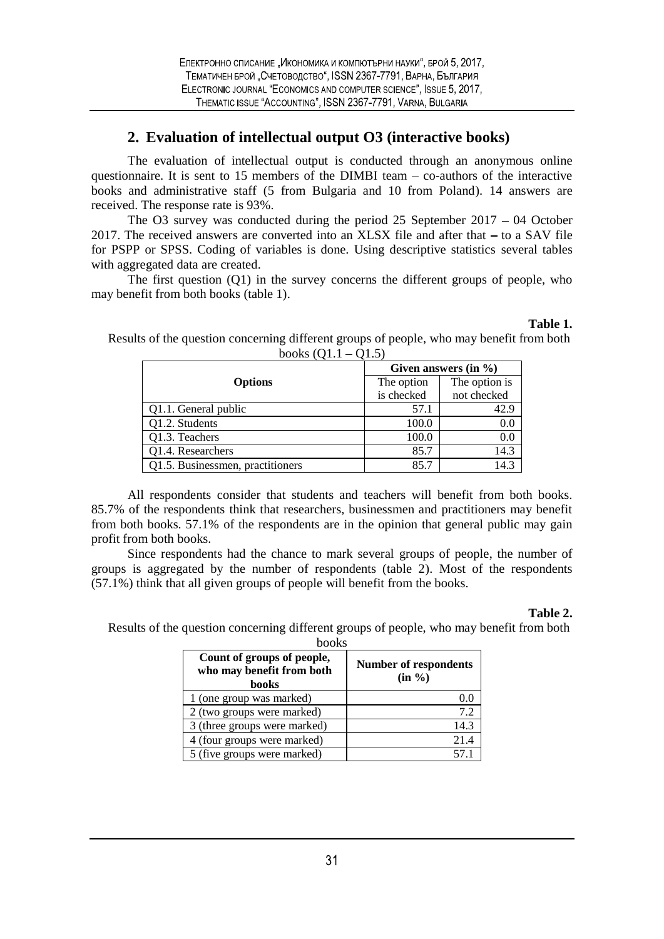## **2. Evaluation of intellectual output O3 (interactive books)**

The evaluation of intellectual output is conducted through an anonymous online questionnaire. It is sent to  $15$  members of the DIMBI team  $-$  co-authors of the interactive books and administrative staff (5 from Bulgaria and 10 from Poland). 14 answers are received. The response rate is 93%.

The O3 survey was conducted during the period  $25$  September  $2017 - 04$  October 2017. The received answers are converted into an XLSX file and after that  $-$  to a SAV file for PSPP or SPSS. Coding of variables is done. Using descriptive statistics several tables with aggregated data are created.

The first question (Q1) in the survey concerns the different groups of people, who may benefit from both books (table 1).

| $\sim$ $\sim$ $\sim$ $\sim$ $\sim$ $\sim$ |                          | Given answers (in $\%$ )     |  |  |  |
|-------------------------------------------|--------------------------|------------------------------|--|--|--|
| <b>Options</b>                            | The option<br>is checked | The option is<br>not checked |  |  |  |
| Q1.1. General public                      | 57.1                     | 42.9                         |  |  |  |
| Q1.2. Students                            | 100.0                    | 0.0                          |  |  |  |
| Q1.3. Teachers                            | 100.0                    | 0.0                          |  |  |  |
| Q1.4. Researchers                         | 85.7                     | 14.3                         |  |  |  |
| Q1.5. Businessmen, practitioners          | 85.7                     | 14.3                         |  |  |  |

Results of the question concerning different groups of people, who may benefit from both books  $(01.1 - 01.5)$ 

All respondents consider that students and teachers will benefit from both books. 85.7% of the respondents think that researchers, businessmen and practitioners may benefit from both books. 57.1% of the respondents are in the opinion that general public may gain profit from both books.

Since respondents had the chance to mark several groups of people, the number of groups is aggregated by the number of respondents (table 2). Most of the respondents (57.1%) think that all given groups of people will benefit from the books.

#### **Table 2.**

**Table 1.**

Results of the question concerning different groups of people, who may benefit from both books

| UUUNO                                                                   |                                           |  |
|-------------------------------------------------------------------------|-------------------------------------------|--|
| Count of groups of people,<br>who may benefit from both<br><b>books</b> | <b>Number of respondents</b><br>$(in \%)$ |  |
| 1 (one group was marked)                                                | 0.0                                       |  |
| 2 (two groups were marked)                                              | 7.2                                       |  |
| 3 (three groups were marked)                                            | 14.3                                      |  |
| 4 (four groups were marked)                                             | 21.4                                      |  |
| 5 (five groups were marked)                                             | 57.1                                      |  |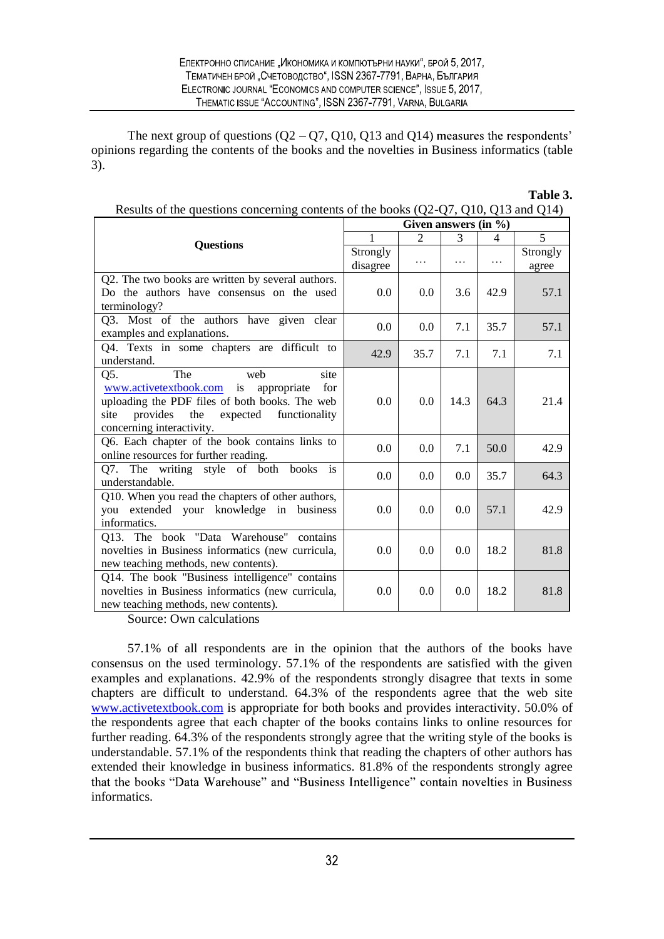The next group of questions  $(Q2 - Q7, Q10, Q13$  and  $Q14)$  measures the respondents' opinions regarding the contents of the books and the novelties in Business informatics (table 3).

|                                                                                                                                                                                                            | Results of the questions concerning contents of the books $Q2-Q/$ , $Q10$ , $Q15$ and $Q17$<br>Given answers $(in \%)$ |      |          |           |                   |  |
|------------------------------------------------------------------------------------------------------------------------------------------------------------------------------------------------------------|------------------------------------------------------------------------------------------------------------------------|------|----------|-----------|-------------------|--|
|                                                                                                                                                                                                            | 5<br>1<br>2<br>3<br>4                                                                                                  |      |          |           |                   |  |
| <b>Questions</b>                                                                                                                                                                                           | Strongly<br>disagree                                                                                                   | .    | $\cdots$ | $\ddotsc$ | Strongly<br>agree |  |
| Q2. The two books are written by several authors.<br>Do the authors have consensus on the used<br>terminology?                                                                                             | 0.0                                                                                                                    | 0.0  | 3.6      | 42.9      | 57.1              |  |
| Q3. Most of the authors have given clear<br>examples and explanations.                                                                                                                                     | 0.0                                                                                                                    | 0.0  | 7.1      | 35.7      | 57.1              |  |
| Q4. Texts in some chapters are difficult to<br>understand.                                                                                                                                                 | 42.9                                                                                                                   | 35.7 | 7.1      | 7.1       | 7.1               |  |
| Q5.<br>The<br>web<br>site<br>www.activetextbook.com is<br>appropriate<br>for<br>uploading the PDF files of both books. The web<br>provides the expected functionality<br>site<br>concerning interactivity. | 0.0                                                                                                                    | 0.0  | 14.3     | 64.3      | 21.4              |  |
| Q6. Each chapter of the book contains links to<br>online resources for further reading.                                                                                                                    | 0.0                                                                                                                    | 0.0  | 7.1      | 50.0      | 42.9              |  |
| Q7. The writing style of both books is<br>understandable.                                                                                                                                                  | 0.0                                                                                                                    | 0.0  | 0.0      | 35.7      | 64.3              |  |
| Q10. When you read the chapters of other authors,<br>you extended your knowledge in business<br>informatics.                                                                                               | 0.0                                                                                                                    | 0.0  | 0.0      | 57.1      | 42.9              |  |
| Q13. The book "Data Warehouse"<br>contains<br>novelties in Business informatics (new curricula,<br>new teaching methods, new contents).                                                                    | $0.0\,$                                                                                                                | 0.0  | 0.0      | 18.2      | 81.8              |  |
| Q14. The book "Business intelligence" contains<br>novelties in Business informatics (new curricula,<br>new teaching methods, new contents).                                                                | 0.0                                                                                                                    | 0.0  | 0.0      | 18.2      | 81.8              |  |

Results of the questions concerning contents of the books (Q2-Q7, Q10, Q13 and Q14)

**Table 3.**

Source: Own calculations

57.1% of all respondents are in the opinion that the authors of the books have consensus on the used terminology. 57.1% of the respondents are satisfied with the given examples and explanations. 42.9% of the respondents strongly disagree that texts in some chapters are difficult to understand. 64.3% of the respondents agree that the web site www.activetextbook.com is appropriate for both books and provides interactivity. 50.0% of the respondents agree that each chapter of the books contains links to online resources for further reading. 64.3% of the respondents strongly agree that the writing style of the books is understandable. 57.1% of the respondents think that reading the chapters of other authors has extended their knowledge in business informatics. 81.8% of the respondents strongly agree that the books "Data Warehouse" and "Business Intelligence" contain novelties in Business informatics.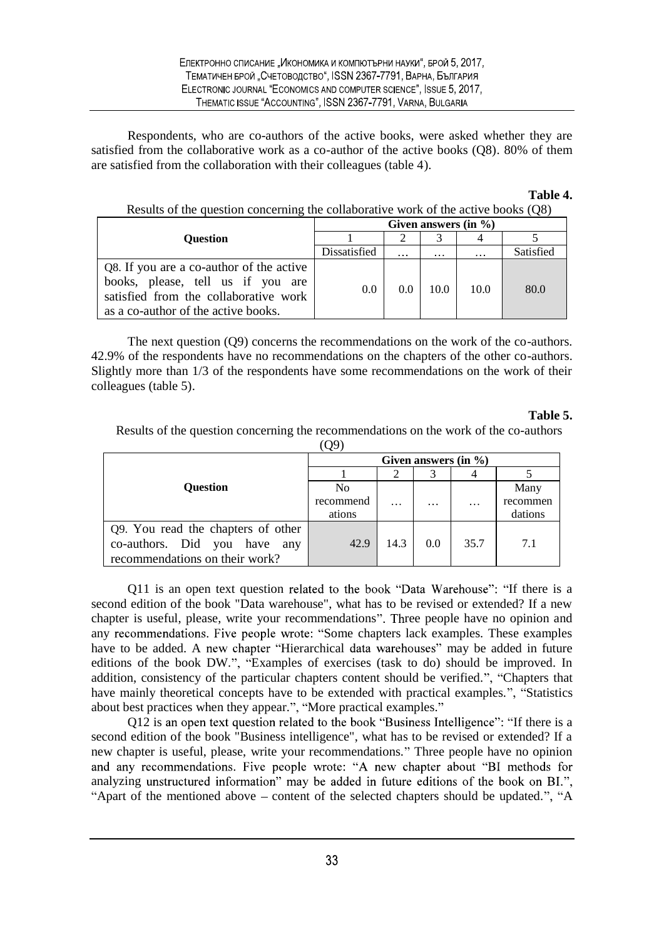Respondents, who are co-authors of the active books, were asked whether they are satisfied from the collaborative work as a co-author of the active books (Q8). 80% of them are satisfied from the collaboration with their colleagues (table 4).

#### **Table 4.**

Results of the question concerning the collaborative work of the active books (Q8)

|                                                                            | Given answers $(in \%)$ |          |          |          |           |  |
|----------------------------------------------------------------------------|-------------------------|----------|----------|----------|-----------|--|
| <b>Ouestion</b>                                                            |                         |          |          |          |           |  |
|                                                                            | Dissatisfied            | $\cdots$ | $\cdots$ | $\cdots$ | Satisfied |  |
| Q8. If you are a co-author of the active                                   |                         |          |          |          |           |  |
| books, please, tell us if you are<br>satisfied from the collaborative work | 0.0                     | 0.0      | 10.0     | 10.0     | 80.0      |  |
| as a co-author of the active books.                                        |                         |          |          |          |           |  |

The next question (Q9) concerns the recommendations on the work of the co-authors. 42.9% of the respondents have no recommendations on the chapters of the other co-authors. Slightly more than 1/3 of the respondents have some recommendations on the work of their colleagues (table 5).

#### **Table 5.**

Results of the question concerning the recommendations on the work of the co-authors (Q9)

|                                    | Given answers $(in \%)$ |          |          |           |          |  |
|------------------------------------|-------------------------|----------|----------|-----------|----------|--|
|                                    |                         |          |          |           |          |  |
| <b>Question</b>                    | N <sub>0</sub>          |          |          |           | Many     |  |
|                                    | recommend               | $\cdots$ | $\cdots$ | $\ddotsc$ | recommen |  |
|                                    | ations                  |          |          |           | dations  |  |
| Q9. You read the chapters of other |                         |          |          |           |          |  |
| co-authors. Did you have any       | 42.9                    | 14.3     | 0.0      | 35.7      | 7.1      |  |
| recommendations on their work?     |                         |          |          |           |          |  |

Q11 is an open text question related to the book "Data Warehouse": "If there is a second edition of the book "Data warehouse", what has to be revised or extended? If a new chapter is useful, please, write your recommendations". Three people have no opinion and any recommendations. Five people wrote: "Some chapters lack examples. These examples have to be added. A new chapter "Hierarchical data warehouses" may be added in future editions of the book DW.", "Examples of exercises (task to do) should be improved. In addition, consistency of the particular chapters content should be verified.", "Chapters that have mainly theoretical concepts have to be extended with practical examples.", "Statistics about best practices when they appear.", "More practical examples."

Q12 is an open text question related to the book "Business Intelligence": "If there is a second edition of the book "Business intelligence", what has to be revised or extended? If a new chapter is useful, please, write your recommendations. Three people have no opinion and any recommendations. Five people wrote: "A new chapter about "BI methods for analyzing unstructured information" may be added in future editions of the book on BI.", "Apart of the mentioned above  $-$  content of the selected chapters should be updated.", "A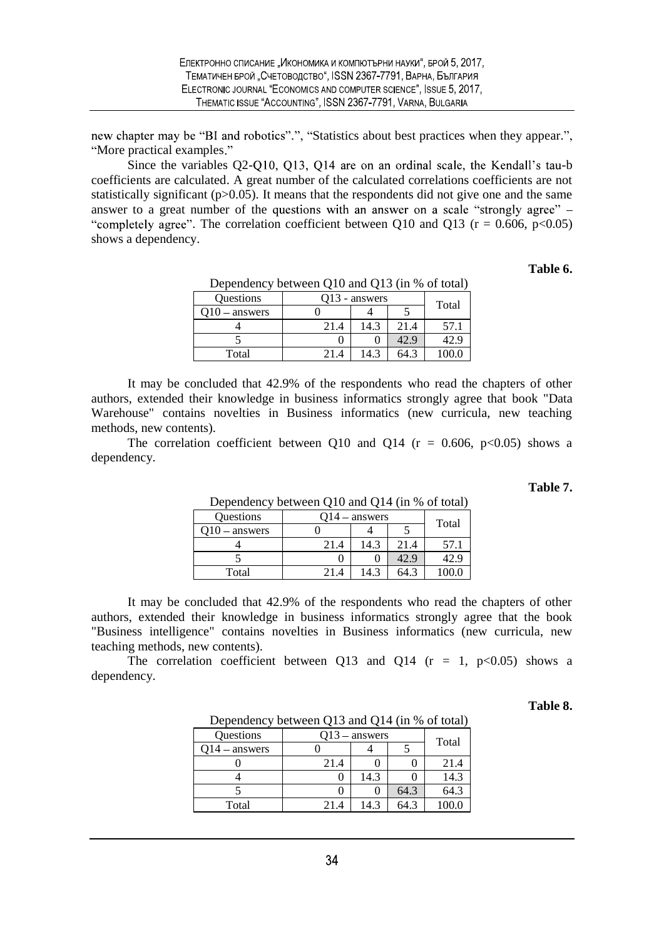new chapter may be "BI and robotics".", "Statistics about best practices when they appear.", "More practical examples."

Since the variables  $Q2-Q10$ ,  $Q13$ ,  $Q14$  are on an ordinal scale, the Kendall's tau-b coefficients are calculated. A great number of the calculated correlations coefficients are not statistically significant ( $p > 0.05$ ). It means that the respondents did not give one and the same answer to a great number of the questions with an answer on a scale "strongly agree" – "completely agree". The correlation coefficient between Q10 and Q13 ( $r = 0.606$ ,  $p < 0.05$ ) shows a dependency.

#### **Table 6.**

|                                        | $D$ experimently between $Q_1Q$ and $Q_1Q_2$ (in 70 or total) |  |  |  |  |  |
|----------------------------------------|---------------------------------------------------------------|--|--|--|--|--|
| Questions<br>Q13 - answers<br>Total    |                                                               |  |  |  |  |  |
| - answers                              |                                                               |  |  |  |  |  |
| 14.3<br>57.1<br>21.4<br>21.4           |                                                               |  |  |  |  |  |
| 42.9<br>-2.9                           |                                                               |  |  |  |  |  |
| 14.3<br>100.0<br>Total<br>64.3<br>21.4 |                                                               |  |  |  |  |  |

Dependency between Q10 and Q13 (in % of total)

It may be concluded that 42.9% of the respondents who read the chapters of other authors, extended their knowledge in business informatics strongly agree that book "Data Warehouse" contains novelties in Business informatics (new curricula, new teaching methods, new contents).

The correlation coefficient between Q10 and Q14 ( $r = 0.606$ ,  $p < 0.05$ ) shows a dependency.

**Table 7.**

| -----------    |                 |      |      |       |  |
|----------------|-----------------|------|------|-------|--|
| Questions      | $O14 -$ answers |      |      |       |  |
| $10 -$ answers |                 |      |      | Total |  |
|                | 21.4            | .4.3 | 21.4 | 57.1  |  |
|                |                 |      | -2.9 |       |  |
| Total          | 21.4            | 4    | 64.3 |       |  |

Dependency between Q10 and Q14 (in % of total)

It may be concluded that 42.9% of the respondents who read the chapters of other authors, extended their knowledge in business informatics strongly agree that the book "Business intelligence" contains novelties in Business informatics (new curricula, new teaching methods, new contents).

The correlation coefficient between Q13 and Q14 ( $r = 1$ ,  $p < 0.05$ ) shows a dependency.

#### **Table 8.**

| Dependency between Q13 and Q14 (in % of total) |                 |      |      |       |  |  |
|------------------------------------------------|-----------------|------|------|-------|--|--|
| Questions                                      | $Q13$ – answers |      |      |       |  |  |
| - answers                                      |                 |      |      | Total |  |  |
|                                                | 21.4            |      |      | 21.4  |  |  |
|                                                |                 | 14.3 |      | 14.3  |  |  |
|                                                |                 | 0    | 64.3 | 64.3  |  |  |
| Total                                          | 214             | 14.3 | 64.3 |       |  |  |